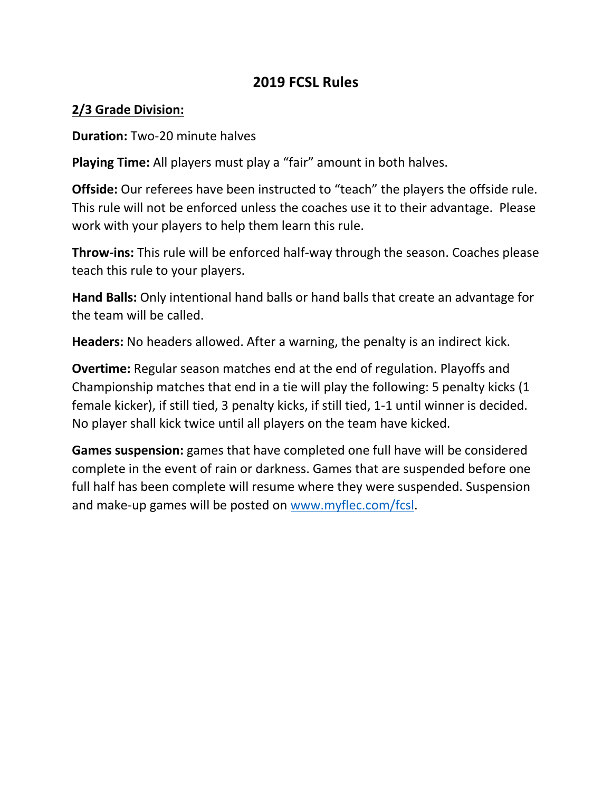## **2019 FCSL Rules**

### **2/3 Grade Division:**

**Duration:** Two-20 minute halves

**Playing Time:** All players must play a "fair" amount in both halves.

**Offside:** Our referees have been instructed to "teach" the players the offside rule. This rule will not be enforced unless the coaches use it to their advantage. Please work with your players to help them learn this rule.

**Throw-ins:** This rule will be enforced half-way through the season. Coaches please teach this rule to your players.

**Hand Balls:** Only intentional hand balls or hand balls that create an advantage for the team will be called.

**Headers:** No headers allowed. After a warning, the penalty is an indirect kick.

**Overtime:** Regular season matches end at the end of regulation. Playoffs and Championship matches that end in a tie will play the following: 5 penalty kicks (1 female kicker), if still tied, 3 penalty kicks, if still tied, 1-1 until winner is decided. No player shall kick twice until all players on the team have kicked.

**Games suspension:** games that have completed one full have will be considered complete in the event of rain or darkness. Games that are suspended before one full half has been complete will resume where they were suspended. Suspension and make-up games will be posted on [www.myflec.com/fcsl.](http://www.myflec.com/fcsl)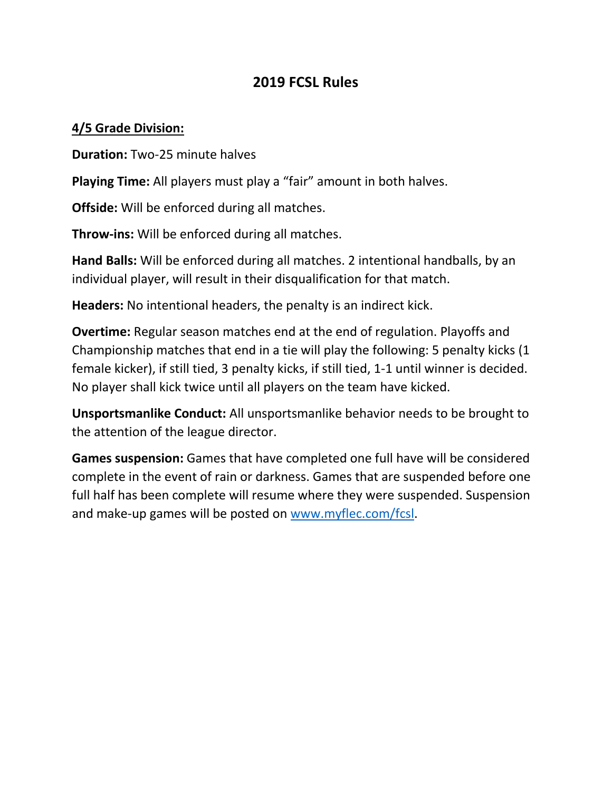# **2019 FCSL Rules**

### **4/5 Grade Division:**

**Duration:** Two-25 minute halves

**Playing Time:** All players must play a "fair" amount in both halves.

**Offside:** Will be enforced during all matches.

**Throw-ins:** Will be enforced during all matches.

**Hand Balls:** Will be enforced during all matches. 2 intentional handballs, by an individual player, will result in their disqualification for that match.

**Headers:** No intentional headers, the penalty is an indirect kick.

**Overtime:** Regular season matches end at the end of regulation. Playoffs and Championship matches that end in a tie will play the following: 5 penalty kicks (1 female kicker), if still tied, 3 penalty kicks, if still tied, 1-1 until winner is decided. No player shall kick twice until all players on the team have kicked.

**Unsportsmanlike Conduct:** All unsportsmanlike behavior needs to be brought to the attention of the league director.

**Games suspension:** Games that have completed one full have will be considered complete in the event of rain or darkness. Games that are suspended before one full half has been complete will resume where they were suspended. Suspension and make-up games will be posted on [www.myflec.com/fcsl.](http://www.myflec.com/fcsl)